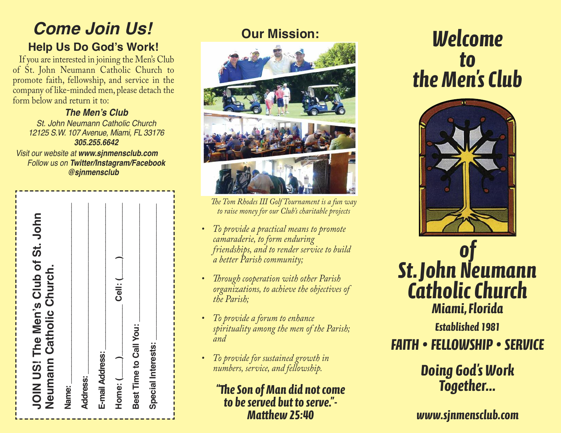# *Come Join Us!* **Help Us Do God's Work!**

If you are interested in joining the Men's Club of St. John Neumann Catholic Church to promote faith, fellowship, and service in the company of like-minded men, please detach the form below and return it to:

*The Men's Club St. John Neumann Catholic Church 12125 S.W. 107 Avenue, Miami, FL 33176 305.255.6642*

*Visit our website at www.sjnmensclub.com Follow us on Twitter/Instagram/Facebook @sjnmensclub*

| JOIN US! The Men's Club of St. John<br>Neumann Catholic Church. |                          | Cell: (                    |                        |                    |
|-----------------------------------------------------------------|--------------------------|----------------------------|------------------------|--------------------|
|                                                                 | <b>Address:</b><br>Name: | E-mail Address:<br>Home: ( | Best Time to Call You: | Special Interests: |



*The Tom Rhodes III Golf Tournament is a fun way to raise money for our Club's charitable projects*

- *To provide a practical means to promote camaraderie, to form enduring friendships, and to render service to build a better Parish community;*
- *Through cooperation with other Parish organizations, to achieve the objectives of the Parish;*
- *To provide a forum to enhance spirituality among the men of the Parish; and*
- *To provide for sustained growth in numbers, service, and fellowship.*

## *"eSon of Man did notcome to beserved but to serve."- Matthew25:40*

# *Welcome to theMen sClub '*





*Established 1981*

*FAITH • FELLOWSHIP • SERVICE*

# *Doing God' s Work Together...*

*www.sjnmensclub.com*